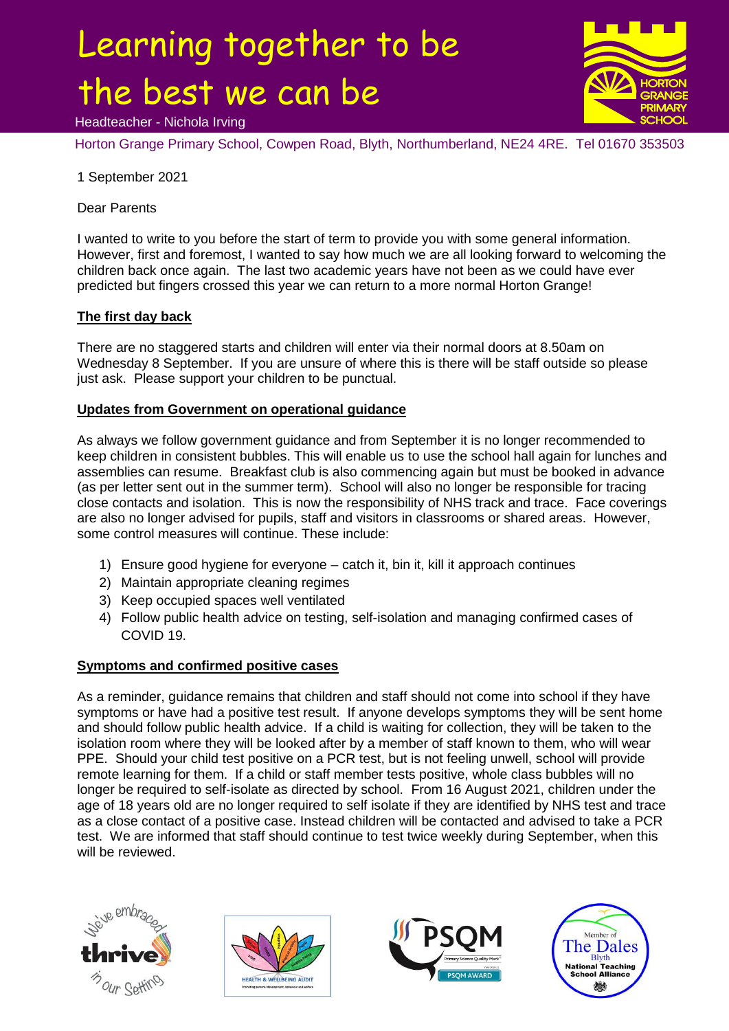# Learning together to be the best we can be Headteacher - Nichola Irving



Horton Grange Primary School, Cowpen Road, Blyth, Northumberland, NE24 4RE. Tel 01670 353503

1 September 2021

Dear Parents

I wanted to write to you before the start of term to provide you with some general information. However, first and foremost, I wanted to say how much we are all looking forward to welcoming the children back once again. The last two academic years have not been as we could have ever predicted but fingers crossed this year we can return to a more normal Horton Grange!

## **The first day back**

There are no staggered starts and children will enter via their normal doors at 8.50am on Wednesday 8 September. If you are unsure of where this is there will be staff outside so please just ask. Please support your children to be punctual.

### **Updates from Government on operational guidance**

As always we follow government guidance and from September it is no longer recommended to keep children in consistent bubbles. This will enable us to use the school hall again for lunches and assemblies can resume. Breakfast club is also commencing again but must be booked in advance (as per letter sent out in the summer term). School will also no longer be responsible for tracing close contacts and isolation. This is now the responsibility of NHS track and trace. Face coverings are also no longer advised for pupils, staff and visitors in classrooms or shared areas. However, some control measures will continue. These include:

- 1) Ensure good hygiene for everyone catch it, bin it, kill it approach continues
- 2) Maintain appropriate cleaning regimes
- 3) Keep occupied spaces well ventilated
- 4) Follow public health advice on testing, self-isolation and managing confirmed cases of COVID 19.

## **Symptoms and confirmed positive cases**

As a reminder, guidance remains that children and staff should not come into school if they have symptoms or have had a positive test result. If anyone develops symptoms they will be sent home and should follow public health advice. If a child is waiting for collection, they will be taken to the isolation room where they will be looked after by a member of staff known to them, who will wear PPE. Should your child test positive on a PCR test, but is not feeling unwell, school will provide remote learning for them. If a child or staff member tests positive, whole class bubbles will no longer be required to self-isolate as directed by school. From 16 August 2021, children under the age of 18 years old are no longer required to self isolate if they are identified by NHS test and trace as a close contact of a positive case. Instead children will be contacted and advised to take a PCR test. We are informed that staff should continue to test twice weekly during September, when this will be reviewed.